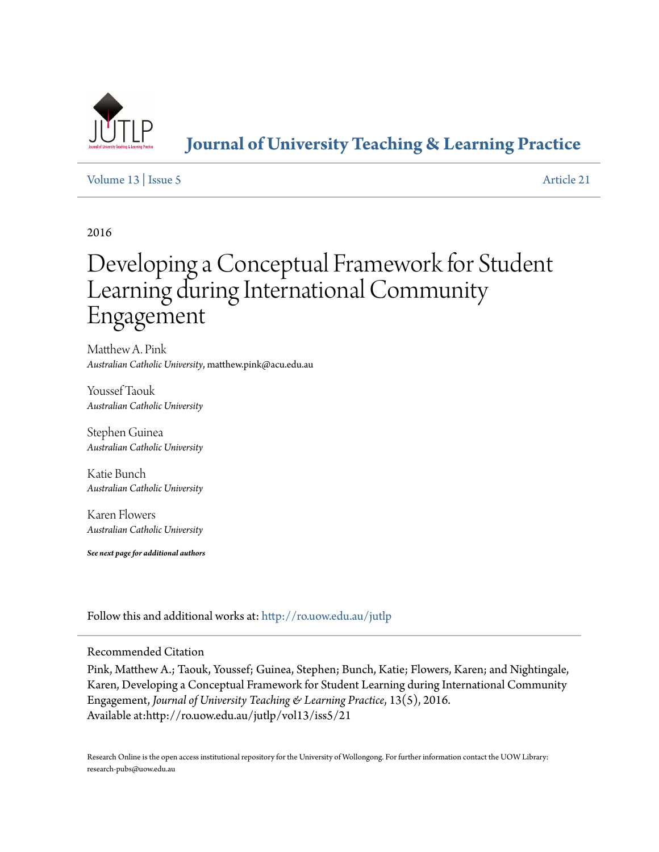

**[Journal of University Teaching & Learning Practice](http://ro.uow.edu.au/jutlp?utm_source=ro.uow.edu.au%2Fjutlp%2Fvol13%2Fiss5%2F21&utm_medium=PDF&utm_campaign=PDFCoverPages)**

## [Volume 13](http://ro.uow.edu.au/jutlp/vol13?utm_source=ro.uow.edu.au%2Fjutlp%2Fvol13%2Fiss5%2F21&utm_medium=PDF&utm_campaign=PDFCoverPages) | [Issue 5](http://ro.uow.edu.au/jutlp/vol13/iss5?utm_source=ro.uow.edu.au%2Fjutlp%2Fvol13%2Fiss5%2F21&utm_medium=PDF&utm_campaign=PDFCoverPages) [Article 21](http://ro.uow.edu.au/jutlp/vol13/iss5/21?utm_source=ro.uow.edu.au%2Fjutlp%2Fvol13%2Fiss5%2F21&utm_medium=PDF&utm_campaign=PDFCoverPages)

2016

# Developing a Conceptual Framework for Student Learning during International Community Engagement

Matthew A. Pink *Australian Catholic University*, matthew.pink@acu.edu.au

Youssef Taouk *Australian Catholic University*

Stephen Guinea *Australian Catholic University*

Katie Bunch *Australian Catholic University*

Karen Flowers *Australian Catholic University*

*See next page for additional authors*

Follow this and additional works at: [http://ro.uow.edu.au/jutlp](http://ro.uow.edu.au/jutlp?utm_source=ro.uow.edu.au%2Fjutlp%2Fvol13%2Fiss5%2F21&utm_medium=PDF&utm_campaign=PDFCoverPages)

#### Recommended Citation

Pink, Matthew A.; Taouk, Youssef; Guinea, Stephen; Bunch, Katie; Flowers, Karen; and Nightingale, Karen, Developing a Conceptual Framework for Student Learning during International Community Engagement, *Journal of University Teaching & Learning Practice*, 13(5), 2016. Available at:http://ro.uow.edu.au/jutlp/vol13/iss5/21

Research Online is the open access institutional repository for the University of Wollongong. For further information contact the UOW Library: research-pubs@uow.edu.au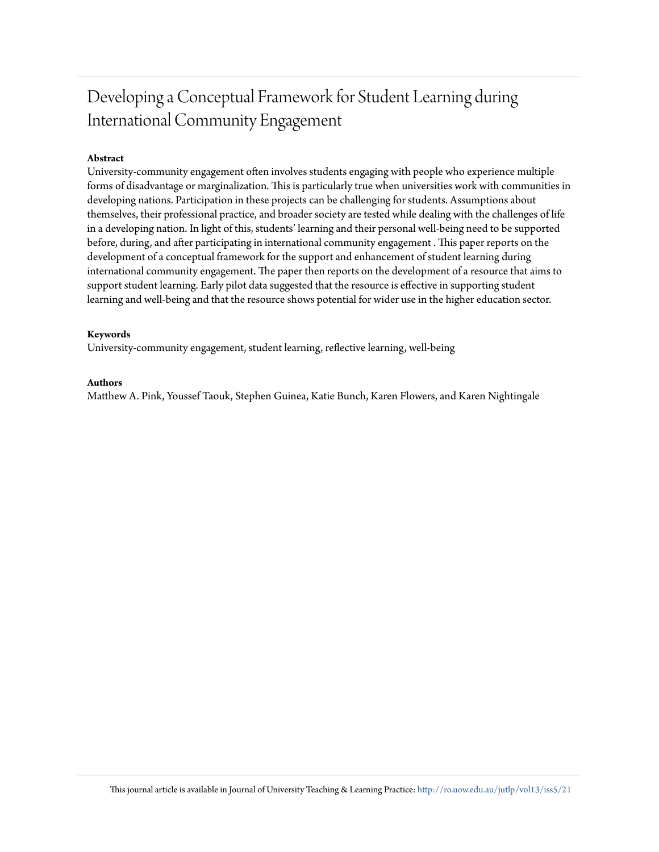## Developing a Conceptual Framework for Student Learning during International Community Engagement

## **Abstract**

University-community engagement often involves students engaging with people who experience multiple forms of disadvantage or marginalization. This is particularly true when universities work with communities in developing nations. Participation in these projects can be challenging for students. Assumptions about themselves, their professional practice, and broader society are tested while dealing with the challenges of life in a developing nation. In light of this, students' learning and their personal well-being need to be supported before, during, and after participating in international community engagement . This paper reports on the development of a conceptual framework for the support and enhancement of student learning during international community engagement. The paper then reports on the development of a resource that aims to support student learning. Early pilot data suggested that the resource is effective in supporting student learning and well-being and that the resource shows potential for wider use in the higher education sector.

#### **Keywords**

University-community engagement, student learning, reflective learning, well-being

#### **Authors**

Matthew A. Pink, Youssef Taouk, Stephen Guinea, Katie Bunch, Karen Flowers, and Karen Nightingale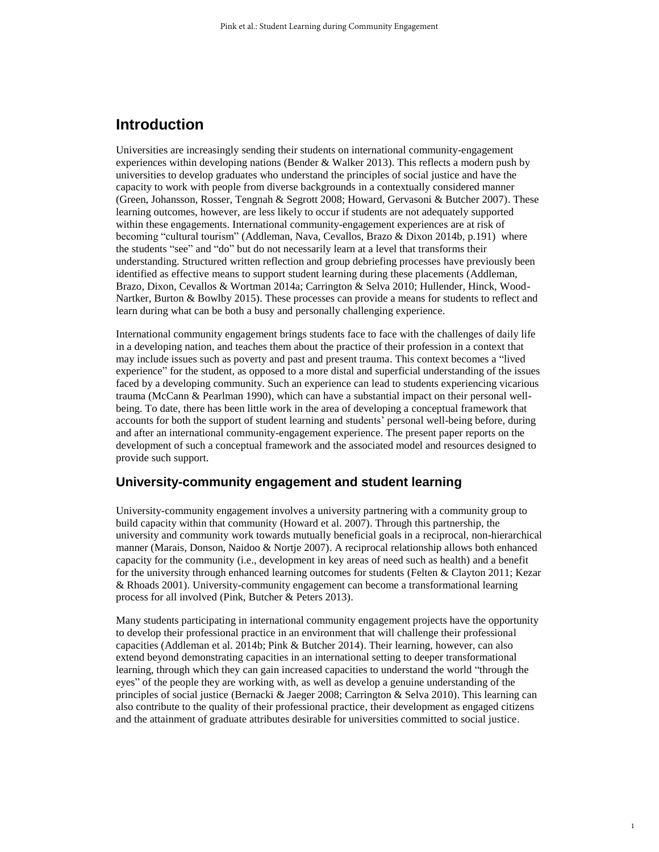## **Introduction**

Universities are increasingly sending their students on international community-engagement experiences within developing nations (Bender & Walker 2013). This reflects a modern push by universities to develop graduates who understand the principles of social justice and have the capacity to work with people from diverse backgrounds in a contextually considered manner (Green, Johansson, Rosser, Tengnah & Segrott 2008; Howard, Gervasoni & Butcher 2007). These learning outcomes, however, are less likely to occur if students are not adequately supported within these engagements. International community-engagement experiences are at risk of becoming "cultural tourism" (Addleman, Nava, Cevallos, Brazo & Dixon 2014b, p.191) where the students "see" and "do" but do not necessarily learn at a level that transforms their understanding. Structured written reflection and group debriefing processes have previously been identified as effective means to support student learning during these placements (Addleman, Brazo, Dixon, Cevallos & Wortman 2014a; Carrington & Selva 2010; Hullender, Hinck, Wood-Nartker, Burton & Bowlby 2015). These processes can provide a means for students to reflect and learn during what can be both a busy and personally challenging experience.

International community engagement brings students face to face with the challenges of daily life in a developing nation, and teaches them about the practice of their profession in a context that may include issues such as poverty and past and present trauma. This context becomes a "lived experience" for the student, as opposed to a more distal and superficial understanding of the issues faced by a developing community. Such an experience can lead to students experiencing vicarious trauma (McCann & Pearlman 1990), which can have a substantial impact on their personal wellbeing. To date, there has been little work in the area of developing a conceptual framework that accounts for both the support of student learning and students' personal well-being before, during and after an international community-engagement experience. The present paper reports on the development of such a conceptual framework and the associated model and resources designed to provide such support.

## **University-community engagement and student learning**

University-community engagement involves a university partnering with a community group to build capacity within that community (Howard et al. 2007). Through this partnership, the university and community work towards mutually beneficial goals in a reciprocal, non-hierarchical manner (Marais, Donson, Naidoo & Nortje 2007). A reciprocal relationship allows both enhanced capacity for the community (i.e., development in key areas of need such as health) and a benefit for the university through enhanced learning outcomes for students (Felten & Clayton 2011; Kezar & Rhoads 2001). University-community engagement can become a transformational learning process for all involved (Pink, Butcher & Peters 2013).

Many students participating in international community engagement projects have the opportunity to develop their professional practice in an environment that will challenge their professional capacities (Addleman et al. 2014b; Pink & Butcher 2014). Their learning, however, can also extend beyond demonstrating capacities in an international setting to deeper transformational learning, through which they can gain increased capacities to understand the world "through the eyes" of the people they are working with, as well as develop a genuine understanding of the principles of social justice (Bernacki & Jaeger 2008; Carrington & Selva 2010). This learning can also contribute to the quality of their professional practice, their development as engaged citizens and the attainment of graduate attributes desirable for universities committed to social justice.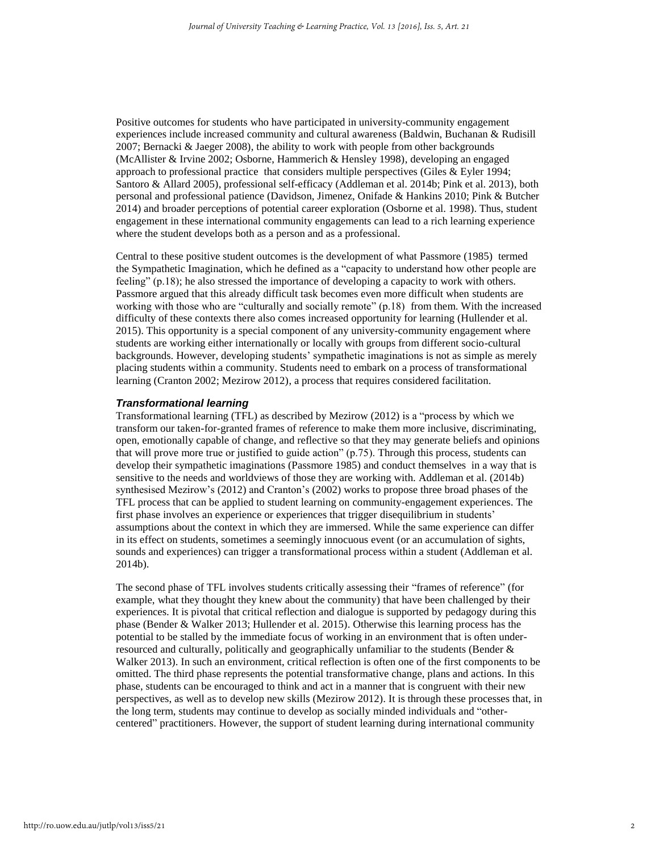Positive outcomes for students who have participated in university-community engagement experiences include increased community and cultural awareness (Baldwin, Buchanan & Rudisill 2007; Bernacki & Jaeger 2008), the ability to work with people from other backgrounds (McAllister & Irvine 2002; Osborne, Hammerich & Hensley 1998), developing an engaged approach to professional practice that considers multiple perspectives (Giles & Eyler 1994; Santoro & Allard 2005), professional self-efficacy (Addleman et al. 2014b; Pink et al. 2013), both personal and professional patience (Davidson, Jimenez, Onifade & Hankins 2010; Pink & Butcher 2014) and broader perceptions of potential career exploration (Osborne et al. 1998). Thus, student engagement in these international community engagements can lead to a rich learning experience where the student develops both as a person and as a professional.

Central to these positive student outcomes is the development of what Passmore (1985) termed the Sympathetic Imagination, which he defined as a "capacity to understand how other people are feeling" (p.18); he also stressed the importance of developing a capacity to work with others. Passmore argued that this already difficult task becomes even more difficult when students are working with those who are "culturally and socially remote" (p.18) from them. With the increased difficulty of these contexts there also comes increased opportunity for learning (Hullender et al. 2015). This opportunity is a special component of any university-community engagement where students are working either internationally or locally with groups from different socio-cultural backgrounds. However, developing students' sympathetic imaginations is not as simple as merely placing students within a community. Students need to embark on a process of transformational learning (Cranton 2002; Mezirow 2012), a process that requires considered facilitation.

#### *Transformational learning*

Transformational learning (TFL) as described by Mezirow (2012) is a "process by which we transform our taken-for-granted frames of reference to make them more inclusive, discriminating, open, emotionally capable of change, and reflective so that they may generate beliefs and opinions that will prove more true or justified to guide action" (p.75). Through this process, students can develop their sympathetic imaginations (Passmore 1985) and conduct themselves in a way that is sensitive to the needs and worldviews of those they are working with. Addleman et al. (2014b) synthesised Mezirow's (2012) and Cranton's (2002) works to propose three broad phases of the TFL process that can be applied to student learning on community-engagement experiences. The first phase involves an experience or experiences that trigger disequilibrium in students' assumptions about the context in which they are immersed. While the same experience can differ in its effect on students, sometimes a seemingly innocuous event (or an accumulation of sights, sounds and experiences) can trigger a transformational process within a student (Addleman et al. 2014b).

The second phase of TFL involves students critically assessing their "frames of reference" (for example, what they thought they knew about the community) that have been challenged by their experiences. It is pivotal that critical reflection and dialogue is supported by pedagogy during this phase (Bender & Walker 2013; Hullender et al. 2015). Otherwise this learning process has the potential to be stalled by the immediate focus of working in an environment that is often underresourced and culturally, politically and geographically unfamiliar to the students (Bender & Walker 2013). In such an environment, critical reflection is often one of the first components to be omitted. The third phase represents the potential transformative change, plans and actions. In this phase, students can be encouraged to think and act in a manner that is congruent with their new perspectives, as well as to develop new skills (Mezirow 2012). It is through these processes that, in the long term, students may continue to develop as socially minded individuals and "othercentered" practitioners. However, the support of student learning during international community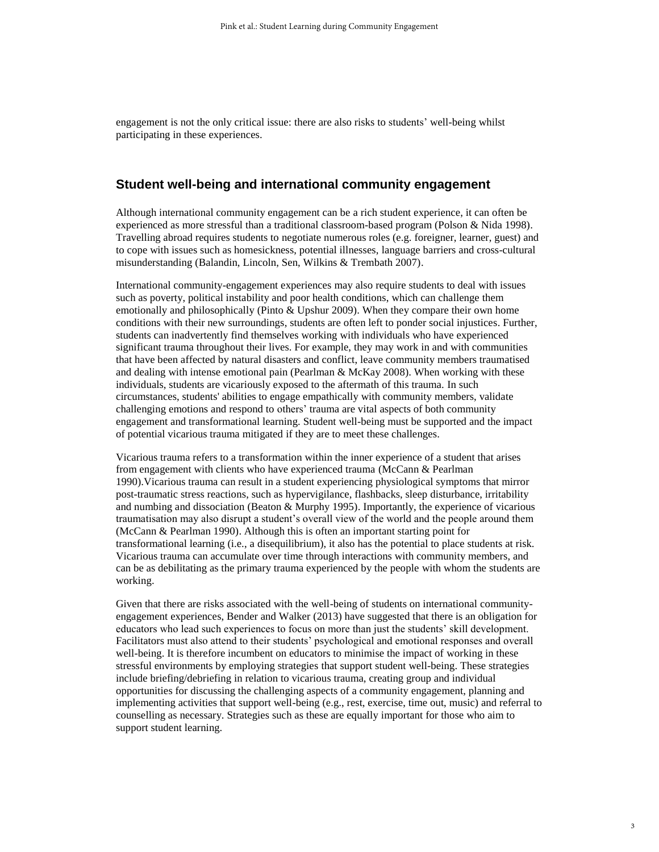engagement is not the only critical issue: there are also risks to students' well-being whilst participating in these experiences.

## **Student well-being and international community engagement**

Although international community engagement can be a rich student experience, it can often be experienced as more stressful than a traditional classroom-based program (Polson & Nida 1998). Travelling abroad requires students to negotiate numerous roles (e.g. foreigner, learner, guest) and to cope with issues such as homesickness, potential illnesses, language barriers and cross-cultural misunderstanding (Balandin, Lincoln, Sen, Wilkins & Trembath 2007).

International community-engagement experiences may also require students to deal with issues such as poverty, political instability and poor health conditions, which can challenge them emotionally and philosophically (Pinto & Upshur 2009). When they compare their own home conditions with their new surroundings, students are often left to ponder social injustices. Further, students can inadvertently find themselves working with individuals who have experienced significant trauma throughout their lives. For example, they may work in and with communities that have been affected by natural disasters and conflict, leave community members traumatised and dealing with intense emotional pain (Pearlman  $\&$  McKay 2008). When working with these individuals, students are vicariously exposed to the aftermath of this trauma. In such circumstances, students' abilities to engage empathically with community members, validate challenging emotions and respond to others' trauma are vital aspects of both community engagement and transformational learning. Student well-being must be supported and the impact of potential vicarious trauma mitigated if they are to meet these challenges.

Vicarious trauma refers to a transformation within the inner experience of a student that arises from engagement with clients who have experienced trauma (McCann & Pearlman 1990).Vicarious trauma can result in a student experiencing physiological symptoms that mirror post-traumatic stress reactions, such as hypervigilance, flashbacks, sleep disturbance, irritability and numbing and dissociation (Beaton & Murphy 1995). Importantly, the experience of vicarious traumatisation may also disrupt a student's overall view of the world and the people around them (McCann & Pearlman 1990). Although this is often an important starting point for transformational learning (i.e., a disequilibrium), it also has the potential to place students at risk. Vicarious trauma can accumulate over time through interactions with community members, and can be as debilitating as the primary trauma experienced by the people with whom the students are working.

Given that there are risks associated with the well-being of students on international communityengagement experiences, Bender and Walker (2013) have suggested that there is an obligation for educators who lead such experiences to focus on more than just the students' skill development. Facilitators must also attend to their students' psychological and emotional responses and overall well-being. It is therefore incumbent on educators to minimise the impact of working in these stressful environments by employing strategies that support student well-being. These strategies include briefing/debriefing in relation to vicarious trauma, creating group and individual opportunities for discussing the challenging aspects of a community engagement, planning and implementing activities that support well-being (e.g., rest, exercise, time out, music) and referral to counselling as necessary. Strategies such as these are equally important for those who aim to support student learning.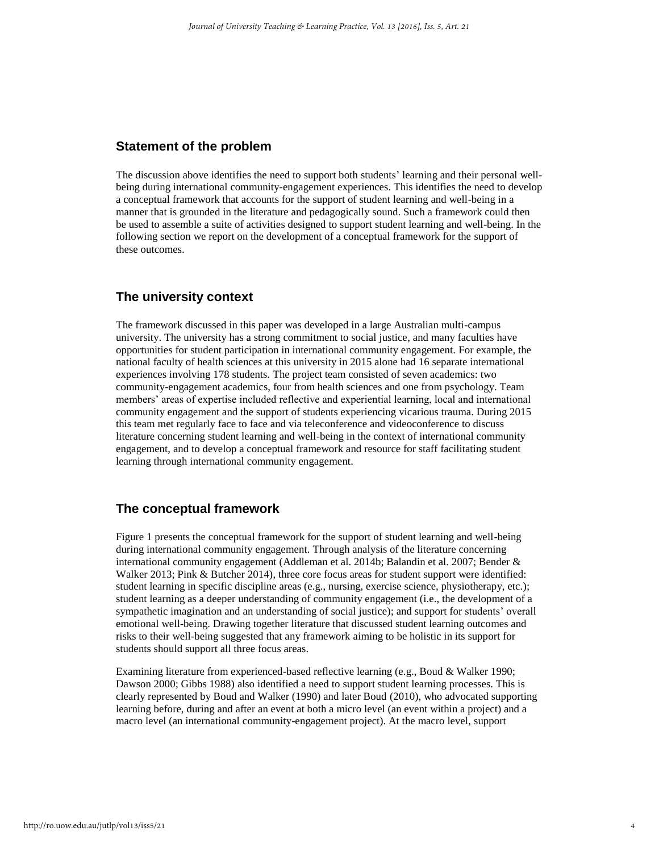## **Statement of the problem**

The discussion above identifies the need to support both students' learning and their personal wellbeing during international community-engagement experiences. This identifies the need to develop a conceptual framework that accounts for the support of student learning and well-being in a manner that is grounded in the literature and pedagogically sound. Such a framework could then be used to assemble a suite of activities designed to support student learning and well-being. In the following section we report on the development of a conceptual framework for the support of these outcomes.

## **The university context**

The framework discussed in this paper was developed in a large Australian multi-campus university. The university has a strong commitment to social justice, and many faculties have opportunities for student participation in international community engagement. For example, the national faculty of health sciences at this university in 2015 alone had 16 separate international experiences involving 178 students. The project team consisted of seven academics: two community-engagement academics, four from health sciences and one from psychology. Team members' areas of expertise included reflective and experiential learning, local and international community engagement and the support of students experiencing vicarious trauma. During 2015 this team met regularly face to face and via teleconference and videoconference to discuss literature concerning student learning and well-being in the context of international community engagement, and to develop a conceptual framework and resource for staff facilitating student learning through international community engagement.

## **The conceptual framework**

Figure 1 presents the conceptual framework for the support of student learning and well-being during international community engagement. Through analysis of the literature concerning international community engagement (Addleman et al. 2014b; Balandin et al. 2007; Bender & Walker 2013; Pink & Butcher 2014), three core focus areas for student support were identified: student learning in specific discipline areas (e.g., nursing, exercise science, physiotherapy, etc.); student learning as a deeper understanding of community engagement (i.e., the development of a sympathetic imagination and an understanding of social justice); and support for students' overall emotional well-being. Drawing together literature that discussed student learning outcomes and risks to their well-being suggested that any framework aiming to be holistic in its support for students should support all three focus areas.

Examining literature from experienced-based reflective learning (e.g., Boud & Walker 1990; Dawson 2000; Gibbs 1988) also identified a need to support student learning processes. This is clearly represented by Boud and Walker (1990) and later Boud (2010), who advocated supporting learning before, during and after an event at both a micro level (an event within a project) and a macro level (an international community-engagement project). At the macro level, support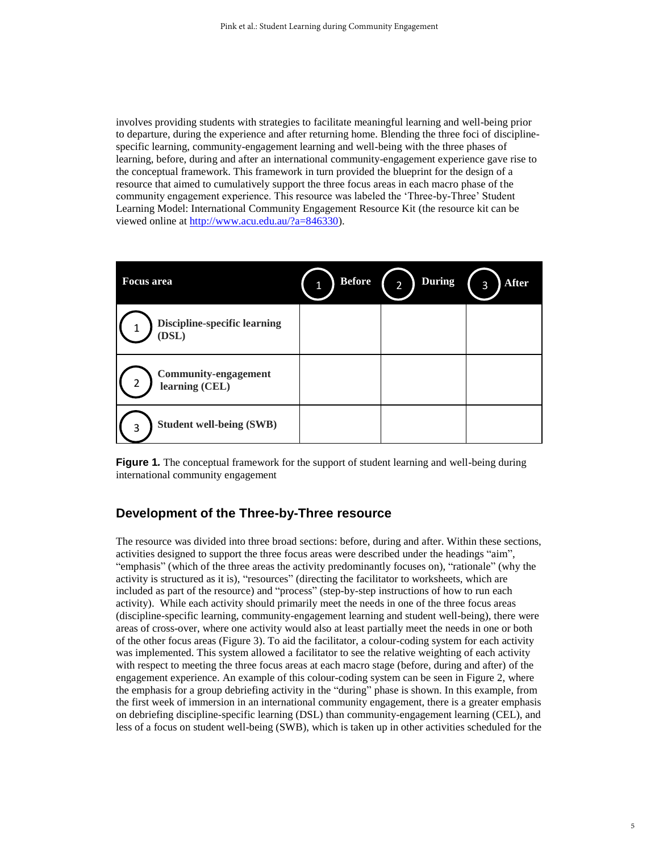involves providing students with strategies to facilitate meaningful learning and well-being prior to departure, during the experience and after returning home. Blending the three foci of disciplinespecific learning, community-engagement learning and well-being with the three phases of learning, before, during and after an international community-engagement experience gave rise to the conceptual framework. This framework in turn provided the blueprint for the design of a resource that aimed to cumulatively support the three focus areas in each macro phase of the community engagement experience. This resource was labeled the 'Three-by-Three' Student Learning Model: International Community Engagement Resource Kit (the resource kit can be viewed online at [http://www.acu.edu.au/?a=846330\)](http://www.acu.edu.au/?a=846330).

| <b>Focus</b> area                                  | <b>Before</b> | <b>During</b><br>$\overline{2}$ | <b>After</b><br>3 |
|----------------------------------------------------|---------------|---------------------------------|-------------------|
| <b>Discipline-specific learning</b><br>(DSL)       |               |                                 |                   |
| <b>Community-engagement</b><br>2<br>learning (CEL) |               |                                 |                   |
| <b>Student well-being (SWB)</b><br>3               |               |                                 |                   |

**Figure 1***.* The conceptual framework for the support of student learning and well-being during international community engagement

## **Development of the Three-by-Three resource**

The resource was divided into three broad sections: before, during and after. Within these sections, activities designed to support the three focus areas were described under the headings "aim", "emphasis" (which of the three areas the activity predominantly focuses on), "rationale" (why the activity is structured as it is), "resources" (directing the facilitator to worksheets, which are included as part of the resource) and "process" (step-by-step instructions of how to run each activity). While each activity should primarily meet the needs in one of the three focus areas (discipline-specific learning, community-engagement learning and student well-being), there were areas of cross-over, where one activity would also at least partially meet the needs in one or both of the other focus areas (Figure 3). To aid the facilitator, a colour-coding system for each activity was implemented. This system allowed a facilitator to see the relative weighting of each activity with respect to meeting the three focus areas at each macro stage (before, during and after) of the engagement experience. An example of this colour-coding system can be seen in Figure 2, where the emphasis for a group debriefing activity in the "during" phase is shown. In this example, from the first week of immersion in an international community engagement, there is a greater emphasis on debriefing discipline-specific learning (DSL) than community-engagement learning (CEL), and less of a focus on student well-being (SWB), which is taken up in other activities scheduled for the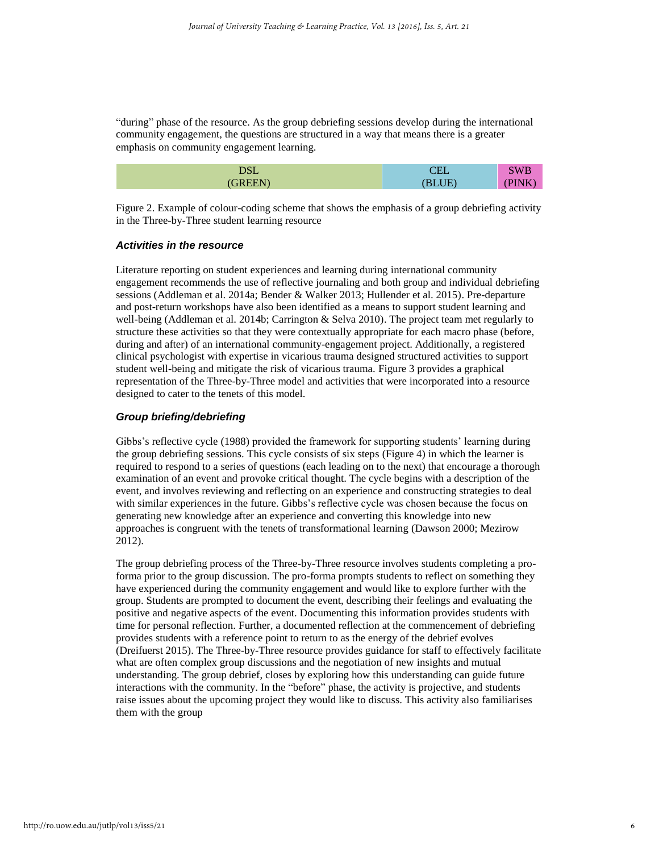"during" phase of the resource. As the group debriefing sessions develop during the international community engagement, the questions are structured in a way that means there is a greater emphasis on community engagement learning.

| $\sqrt{a}$<br>--- | ---- | w<br>'<br>~ |
|-------------------|------|-------------|
| .                 |      | . .         |

Figure 2. Example of colour-coding scheme that shows the emphasis of a group debriefing activity in the Three-by-Three student learning resource

#### *Activities in the resource*

Literature reporting on student experiences and learning during international community engagement recommends the use of reflective journaling and both group and individual debriefing sessions (Addleman et al. 2014a; Bender & Walker 2013; Hullender et al. 2015). Pre-departure and post-return workshops have also been identified as a means to support student learning and well-being (Addleman et al. 2014b; Carrington & Selva 2010). The project team met regularly to structure these activities so that they were contextually appropriate for each macro phase (before, during and after) of an international community-engagement project. Additionally, a registered clinical psychologist with expertise in vicarious trauma designed structured activities to support student well-being and mitigate the risk of vicarious trauma. Figure 3 provides a graphical representation of the Three-by-Three model and activities that were incorporated into a resource designed to cater to the tenets of this model.

#### *Group briefing/debriefing*

Gibbs's reflective cycle (1988) provided the framework for supporting students' learning during the group debriefing sessions. This cycle consists of six steps (Figure 4) in which the learner is required to respond to a series of questions (each leading on to the next) that encourage a thorough examination of an event and provoke critical thought. The cycle begins with a description of the event, and involves reviewing and reflecting on an experience and constructing strategies to deal with similar experiences in the future. Gibbs's reflective cycle was chosen because the focus on generating new knowledge after an experience and converting this knowledge into new approaches is congruent with the tenets of transformational learning (Dawson 2000; Mezirow 2012).

The group debriefing process of the Three-by-Three resource involves students completing a proforma prior to the group discussion. The pro-forma prompts students to reflect on something they have experienced during the community engagement and would like to explore further with the group. Students are prompted to document the event, describing their feelings and evaluating the positive and negative aspects of the event. Documenting this information provides students with time for personal reflection. Further, a documented reflection at the commencement of debriefing provides students with a reference point to return to as the energy of the debrief evolves (Dreifuerst 2015). The Three-by-Three resource provides guidance for staff to effectively facilitate what are often complex group discussions and the negotiation of new insights and mutual understanding. The group debrief, closes by exploring how this understanding can guide future interactions with the community. In the "before" phase, the activity is projective, and students raise issues about the upcoming project they would like to discuss. This activity also familiarises them with the group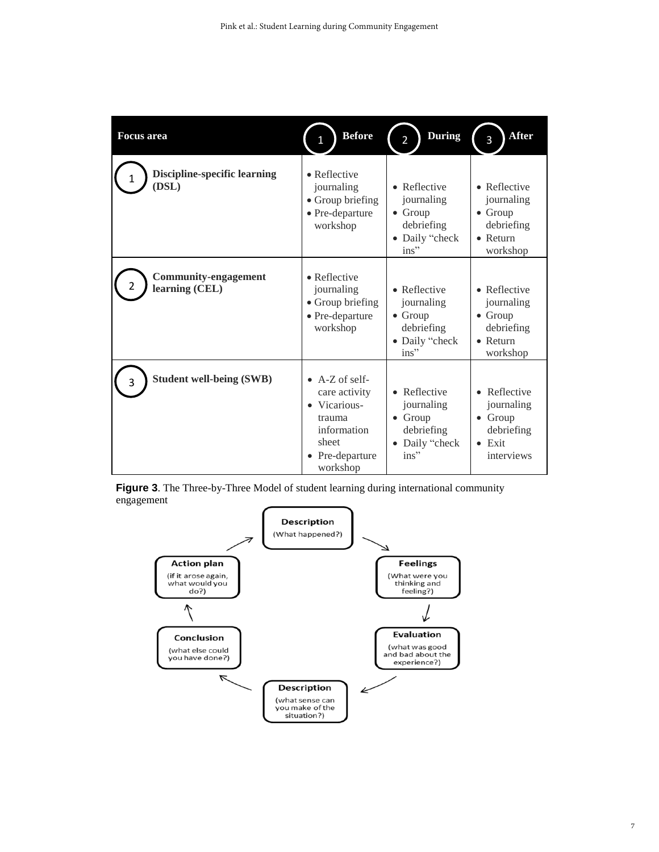| <b>Focus</b> area                             | <b>Before</b>                                                                                                            | <b>During</b><br>$\overline{2}$                                                          | <b>After</b><br>3                                                                           |
|-----------------------------------------------|--------------------------------------------------------------------------------------------------------------------------|------------------------------------------------------------------------------------------|---------------------------------------------------------------------------------------------|
| <b>Discipline-specific learning</b><br>(DSL)  | $\bullet$ Reflective<br>journaling<br>• Group briefing<br>$\bullet$ Pre-departure<br>workshop                            | • Reflective<br>journaling<br>$\bullet$ Group<br>debriefing<br>• Daily "check<br>ins"    | • Reflective<br>journaling<br>$\bullet$ Group<br>debriefing<br>$\bullet$ Return<br>workshop |
| <b>Community-engagement</b><br>learning (CEL) | $\bullet$ Reflective<br>journaling<br>• Group briefing<br>$\bullet$ Pre-departure<br>workshop                            | • Reflective<br>journaling<br>$\bullet$ Group<br>debriefing<br>• Daily "check<br>$ins$ " | • Reflective<br>journaling<br>$\bullet$ Group<br>debriefing<br>$\bullet$ Return<br>workshop |
| <b>Student well-being (SWB)</b>               | $\bullet$ A-Z of self-<br>care activity<br>• Vicarious-<br>trauma<br>information<br>sheet<br>• Pre-departure<br>workshop | • Reflective<br>journaling<br>$\bullet$ Group<br>debriefing<br>Daily "check<br>ins"      | • Reflective<br>journaling<br>$\bullet$ Group<br>debriefing<br>$\bullet$ Exit<br>interviews |

**Figure 3**. The Three-by-Three Model of student learning during international community engagement

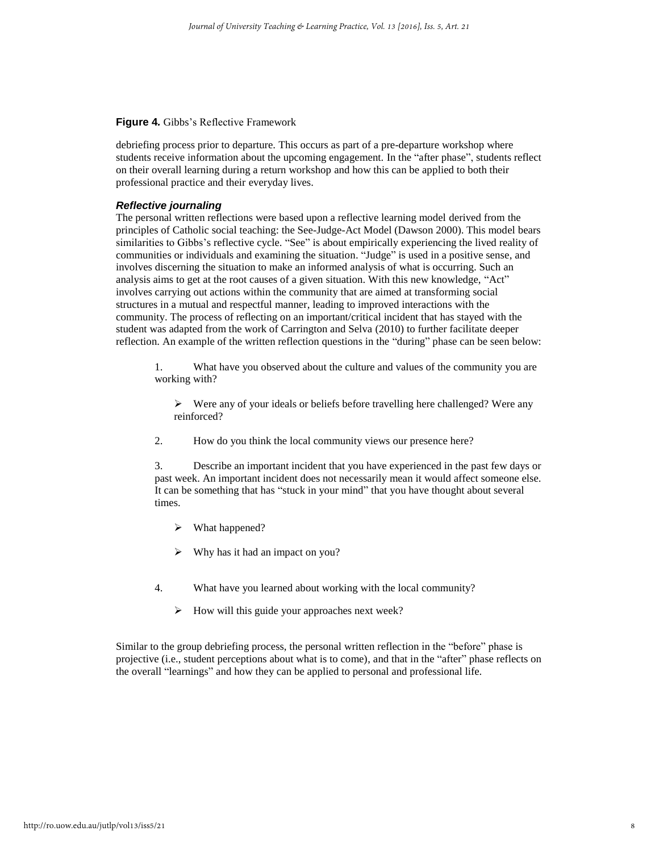#### **Figure 4***.* Gibbs's Reflective Framework

debriefing process prior to departure. This occurs as part of a pre-departure workshop where students receive information about the upcoming engagement. In the "after phase", students reflect on their overall learning during a return workshop and how this can be applied to both their professional practice and their everyday lives.

#### *Reflective journaling*

The personal written reflections were based upon a reflective learning model derived from the principles of Catholic social teaching: the See-Judge-Act Model (Dawson 2000). This model bears similarities to Gibbs's reflective cycle. "See" is about empirically experiencing the lived reality of communities or individuals and examining the situation. "Judge" is used in a positive sense, and involves discerning the situation to make an informed analysis of what is occurring. Such an analysis aims to get at the root causes of a given situation. With this new knowledge, "Act" involves carrying out actions within the community that are aimed at transforming social structures in a mutual and respectful manner, leading to improved interactions with the community. The process of reflecting on an important/critical incident that has stayed with the student was adapted from the work of Carrington and Selva (2010) to further facilitate deeper reflection. An example of the written reflection questions in the "during" phase can be seen below:

1. What have you observed about the culture and values of the community you are working with?

- $\triangleright$  Were any of your ideals or beliefs before travelling here challenged? Were any reinforced?
- 2. How do you think the local community views our presence here?

3. Describe an important incident that you have experienced in the past few days or past week. An important incident does not necessarily mean it would affect someone else. It can be something that has "stuck in your mind" that you have thought about several times.

- What happened?
- Why has it had an impact on you?
- 4. What have you learned about working with the local community?
	- $\triangleright$  How will this guide your approaches next week?

Similar to the group debriefing process, the personal written reflection in the "before" phase is projective (i.e., student perceptions about what is to come), and that in the "after" phase reflects on the overall "learnings" and how they can be applied to personal and professional life.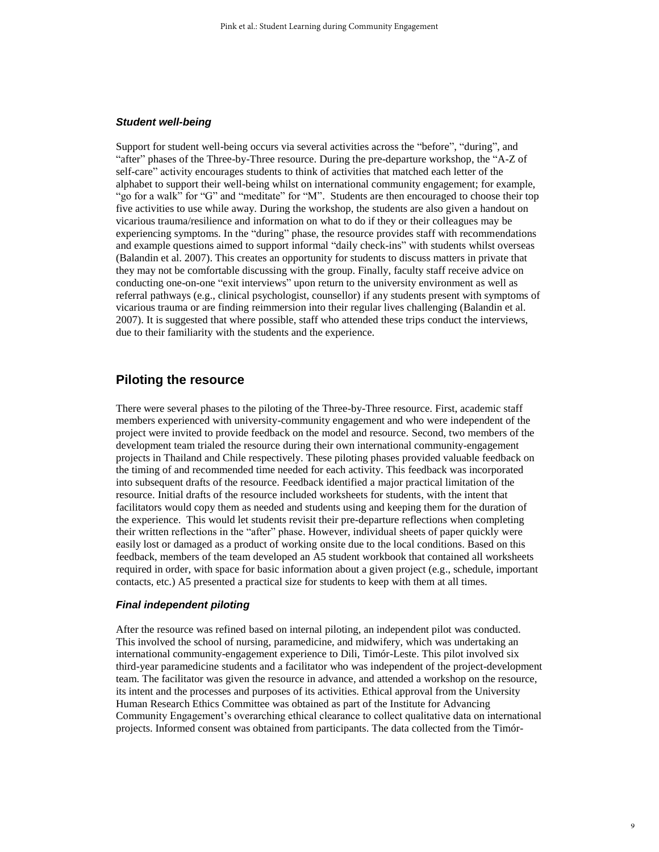#### *Student well-being*

Support for student well-being occurs via several activities across the "before", "during", and "after" phases of the Three-by-Three resource. During the pre-departure workshop, the "A-Z of self-care" activity encourages students to think of activities that matched each letter of the alphabet to support their well-being whilst on international community engagement; for example, "go for a walk" for "G" and "meditate" for "M". Students are then encouraged to choose their top five activities to use while away. During the workshop, the students are also given a handout on vicarious trauma/resilience and information on what to do if they or their colleagues may be experiencing symptoms. In the "during" phase, the resource provides staff with recommendations and example questions aimed to support informal "daily check-ins" with students whilst overseas (Balandin et al. 2007). This creates an opportunity for students to discuss matters in private that they may not be comfortable discussing with the group. Finally, faculty staff receive advice on conducting one-on-one "exit interviews" upon return to the university environment as well as referral pathways (e.g., clinical psychologist, counsellor) if any students present with symptoms of vicarious trauma or are finding reimmersion into their regular lives challenging (Balandin et al. 2007). It is suggested that where possible, staff who attended these trips conduct the interviews, due to their familiarity with the students and the experience.

## **Piloting the resource**

There were several phases to the piloting of the Three-by-Three resource. First, academic staff members experienced with university-community engagement and who were independent of the project were invited to provide feedback on the model and resource. Second, two members of the development team trialed the resource during their own international community-engagement projects in Thailand and Chile respectively. These piloting phases provided valuable feedback on the timing of and recommended time needed for each activity. This feedback was incorporated into subsequent drafts of the resource. Feedback identified a major practical limitation of the resource. Initial drafts of the resource included worksheets for students, with the intent that facilitators would copy them as needed and students using and keeping them for the duration of the experience. This would let students revisit their pre-departure reflections when completing their written reflections in the "after" phase. However, individual sheets of paper quickly were easily lost or damaged as a product of working onsite due to the local conditions. Based on this feedback, members of the team developed an A5 student workbook that contained all worksheets required in order, with space for basic information about a given project (e.g., schedule, important contacts, etc.) A5 presented a practical size for students to keep with them at all times.

#### *Final independent piloting*

After the resource was refined based on internal piloting, an independent pilot was conducted. This involved the school of nursing, paramedicine, and midwifery, which was undertaking an international community-engagement experience to Dili, Timór-Leste. This pilot involved six third-year paramedicine students and a facilitator who was independent of the project-development team. The facilitator was given the resource in advance, and attended a workshop on the resource, its intent and the processes and purposes of its activities. Ethical approval from the University Human Research Ethics Committee was obtained as part of the Institute for Advancing Community Engagement's overarching ethical clearance to collect qualitative data on international projects. Informed consent was obtained from participants. The data collected from the Timór-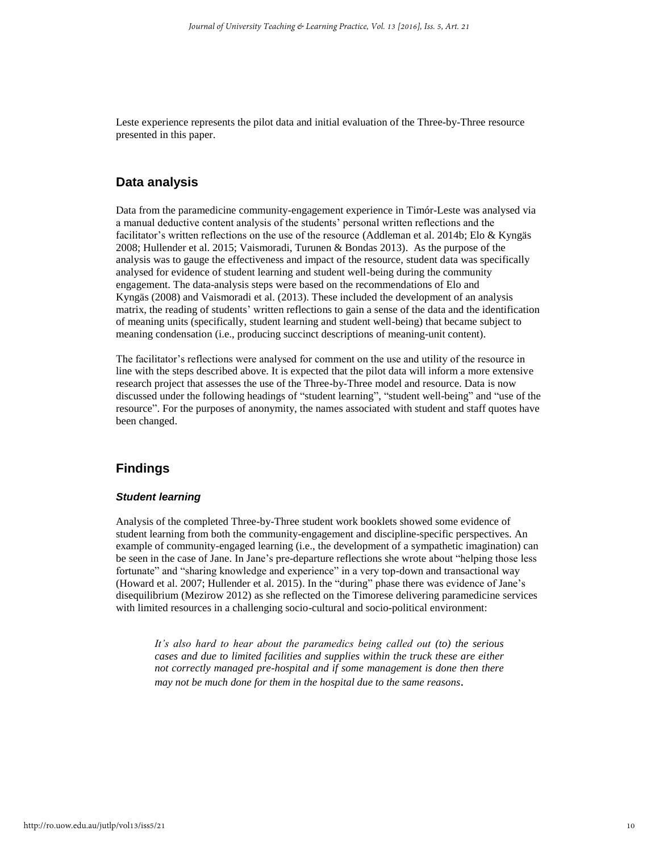Leste experience represents the pilot data and initial evaluation of the Three-by-Three resource presented in this paper.

## **Data analysis**

Data from the paramedicine community-engagement experience in Timór-Leste was analysed via a manual deductive content analysis of the students' personal written reflections and the facilitator's written reflections on the use of the resource (Addleman et al. 2014b; Elo & Kyngäs 2008; Hullender et al. 2015; Vaismoradi, Turunen & Bondas 2013). As the purpose of the analysis was to gauge the effectiveness and impact of the resource, student data was specifically analysed for evidence of student learning and student well-being during the community engagement. The data-analysis steps were based on the recommendations of Elo and Kyngäs (2008) and Vaismoradi et al. (2013). These included the development of an analysis matrix, the reading of students' written reflections to gain a sense of the data and the identification of meaning units (specifically, student learning and student well-being) that became subject to meaning condensation (i.e., producing succinct descriptions of meaning-unit content).

The facilitator's reflections were analysed for comment on the use and utility of the resource in line with the steps described above. It is expected that the pilot data will inform a more extensive research project that assesses the use of the Three-by-Three model and resource. Data is now discussed under the following headings of "student learning", "student well-being" and "use of the resource". For the purposes of anonymity, the names associated with student and staff quotes have been changed.

## **Findings**

#### *Student learning*

Analysis of the completed Three-by-Three student work booklets showed some evidence of student learning from both the community-engagement and discipline-specific perspectives. An example of community-engaged learning (i.e., the development of a sympathetic imagination) can be seen in the case of Jane. In Jane's pre-departure reflections she wrote about "helping those less fortunate" and "sharing knowledge and experience" in a very top-down and transactional way (Howard et al. 2007; Hullender et al. 2015). In the "during" phase there was evidence of Jane's disequilibrium (Mezirow 2012) as she reflected on the Timorese delivering paramedicine services with limited resources in a challenging socio-cultural and socio-political environment:

*It's also hard to hear about the paramedics being called out (to) the serious cases and due to limited facilities and supplies within the truck these are either not correctly managed pre-hospital and if some management is done then there may not be much done for them in the hospital due to the same reasons.*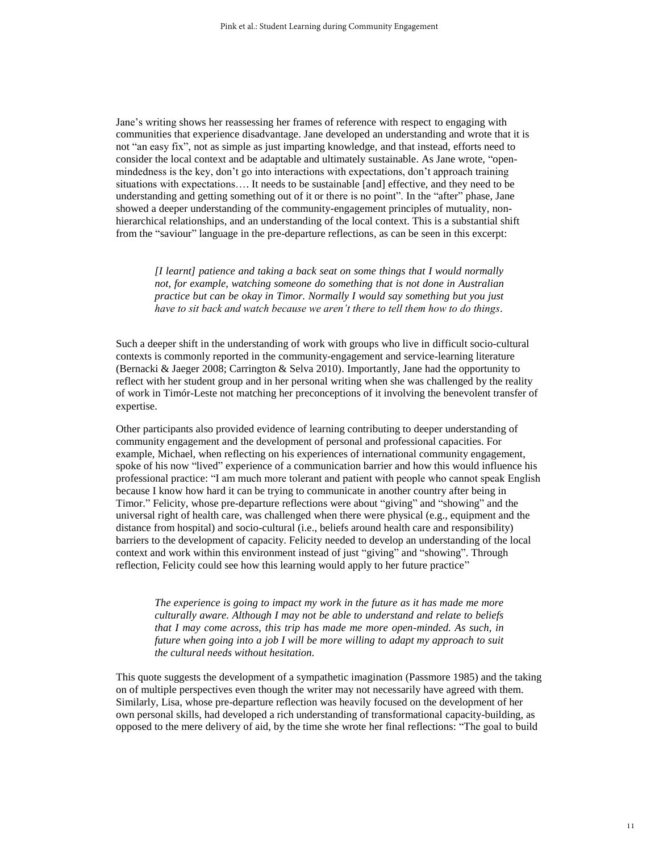Jane's writing shows her reassessing her frames of reference with respect to engaging with communities that experience disadvantage. Jane developed an understanding and wrote that it is not "an easy fix", not as simple as just imparting knowledge, and that instead, efforts need to consider the local context and be adaptable and ultimately sustainable. As Jane wrote, "openmindedness is the key, don't go into interactions with expectations, don't approach training situations with expectations…. It needs to be sustainable [and] effective, and they need to be understanding and getting something out of it or there is no point". In the "after" phase, Jane showed a deeper understanding of the community-engagement principles of mutuality, nonhierarchical relationships, and an understanding of the local context. This is a substantial shift from the "saviour" language in the pre-departure reflections, as can be seen in this excerpt:

*[I learnt] patience and taking a back seat on some things that I would normally not, for example, watching someone do something that is not done in Australian practice but can be okay in Timor. Normally I would say something but you just have to sit back and watch because we aren't there to tell them how to do things.*

Such a deeper shift in the understanding of work with groups who live in difficult socio-cultural contexts is commonly reported in the community-engagement and service-learning literature (Bernacki & Jaeger 2008; Carrington & Selva 2010). Importantly, Jane had the opportunity to reflect with her student group and in her personal writing when she was challenged by the reality of work in Timór-Leste not matching her preconceptions of it involving the benevolent transfer of expertise.

Other participants also provided evidence of learning contributing to deeper understanding of community engagement and the development of personal and professional capacities. For example, Michael, when reflecting on his experiences of international community engagement, spoke of his now "lived" experience of a communication barrier and how this would influence his professional practice: "I am much more tolerant and patient with people who cannot speak English because I know how hard it can be trying to communicate in another country after being in Timor." Felicity, whose pre-departure reflections were about "giving" and "showing" and the universal right of health care, was challenged when there were physical (e.g., equipment and the distance from hospital) and socio-cultural (i.e., beliefs around health care and responsibility) barriers to the development of capacity. Felicity needed to develop an understanding of the local context and work within this environment instead of just "giving" and "showing". Through reflection, Felicity could see how this learning would apply to her future practice"

*The experience is going to impact my work in the future as it has made me more culturally aware. Although I may not be able to understand and relate to beliefs that I may come across, this trip has made me more open-minded. As such, in future when going into a job I will be more willing to adapt my approach to suit the cultural needs without hesitation.*

This quote suggests the development of a sympathetic imagination (Passmore 1985) and the taking on of multiple perspectives even though the writer may not necessarily have agreed with them. Similarly, Lisa, whose pre-departure reflection was heavily focused on the development of her own personal skills, had developed a rich understanding of transformational capacity-building, as opposed to the mere delivery of aid, by the time she wrote her final reflections: "The goal to build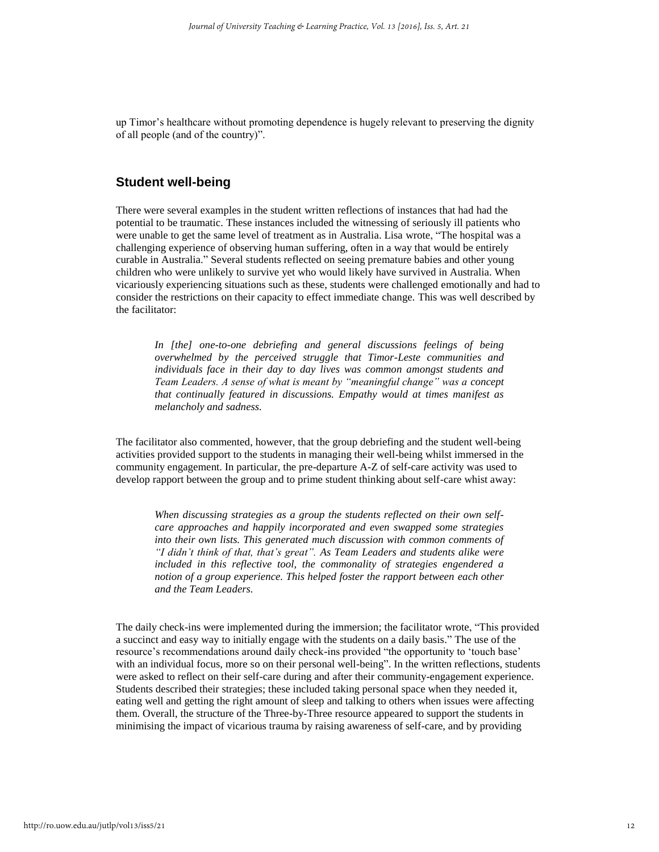up Timor's healthcare without promoting dependence is hugely relevant to preserving the dignity of all people (and of the country)".

#### **Student well-being**

There were several examples in the student written reflections of instances that had had the potential to be traumatic. These instances included the witnessing of seriously ill patients who were unable to get the same level of treatment as in Australia. Lisa wrote, "The hospital was a challenging experience of observing human suffering, often in a way that would be entirely curable in Australia." Several students reflected on seeing premature babies and other young children who were unlikely to survive yet who would likely have survived in Australia. When vicariously experiencing situations such as these, students were challenged emotionally and had to consider the restrictions on their capacity to effect immediate change. This was well described by the facilitator:

*In [the] one-to-one debriefing and general discussions feelings of being overwhelmed by the perceived struggle that Timor-Leste communities and individuals face in their day to day lives was common amongst students and Team Leaders. A sense of what is meant by "meaningful change" was a concept that continually featured in discussions. Empathy would at times manifest as melancholy and sadness.*

The facilitator also commented, however, that the group debriefing and the student well-being activities provided support to the students in managing their well-being whilst immersed in the community engagement. In particular, the pre-departure A-Z of self-care activity was used to develop rapport between the group and to prime student thinking about self-care whist away:

*When discussing strategies as a group the students reflected on their own selfcare approaches and happily incorporated and even swapped some strategies into their own lists. This generated much discussion with common comments of "I didn't think of that, that's great". As Team Leaders and students alike were included in this reflective tool, the commonality of strategies engendered a notion of a group experience. This helped foster the rapport between each other and the Team Leaders.*

The daily check-ins were implemented during the immersion; the facilitator wrote, "This provided a succinct and easy way to initially engage with the students on a daily basis." The use of the resource's recommendations around daily check-ins provided "the opportunity to 'touch base' with an individual focus, more so on their personal well-being". In the written reflections, students were asked to reflect on their self-care during and after their community-engagement experience. Students described their strategies; these included taking personal space when they needed it, eating well and getting the right amount of sleep and talking to others when issues were affecting them. Overall, the structure of the Three-by-Three resource appeared to support the students in minimising the impact of vicarious trauma by raising awareness of self-care, and by providing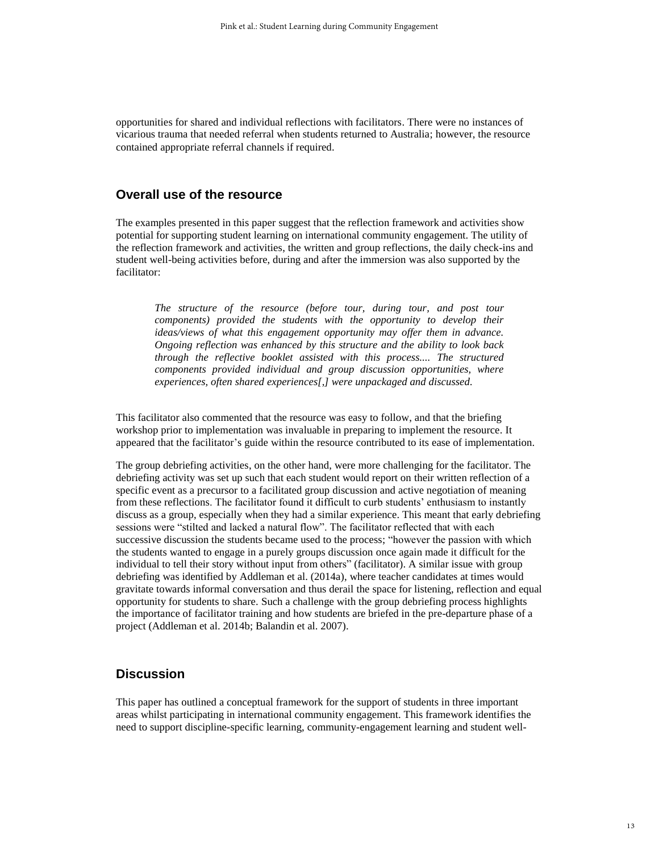opportunities for shared and individual reflections with facilitators. There were no instances of vicarious trauma that needed referral when students returned to Australia; however, the resource contained appropriate referral channels if required.

## **Overall use of the resource**

The examples presented in this paper suggest that the reflection framework and activities show potential for supporting student learning on international community engagement. The utility of the reflection framework and activities, the written and group reflections, the daily check-ins and student well-being activities before, during and after the immersion was also supported by the facilitator:

*The structure of the resource (before tour, during tour, and post tour components) provided the students with the opportunity to develop their ideas/views of what this engagement opportunity may offer them in advance. Ongoing reflection was enhanced by this structure and the ability to look back through the reflective booklet assisted with this process.... The structured components provided individual and group discussion opportunities, where experiences, often shared experiences[,] were unpackaged and discussed.*

This facilitator also commented that the resource was easy to follow, and that the briefing workshop prior to implementation was invaluable in preparing to implement the resource. It appeared that the facilitator's guide within the resource contributed to its ease of implementation.

The group debriefing activities, on the other hand, were more challenging for the facilitator. The debriefing activity was set up such that each student would report on their written reflection of a specific event as a precursor to a facilitated group discussion and active negotiation of meaning from these reflections. The facilitator found it difficult to curb students' enthusiasm to instantly discuss as a group, especially when they had a similar experience. This meant that early debriefing sessions were "stilted and lacked a natural flow". The facilitator reflected that with each successive discussion the students became used to the process; "however the passion with which the students wanted to engage in a purely groups discussion once again made it difficult for the individual to tell their story without input from others" (facilitator). A similar issue with group debriefing was identified by Addleman et al. (2014a), where teacher candidates at times would gravitate towards informal conversation and thus derail the space for listening, reflection and equal opportunity for students to share. Such a challenge with the group debriefing process highlights the importance of facilitator training and how students are briefed in the pre-departure phase of a project (Addleman et al. 2014b; Balandin et al. 2007).

## **Discussion**

This paper has outlined a conceptual framework for the support of students in three important areas whilst participating in international community engagement. This framework identifies the need to support discipline-specific learning, community-engagement learning and student well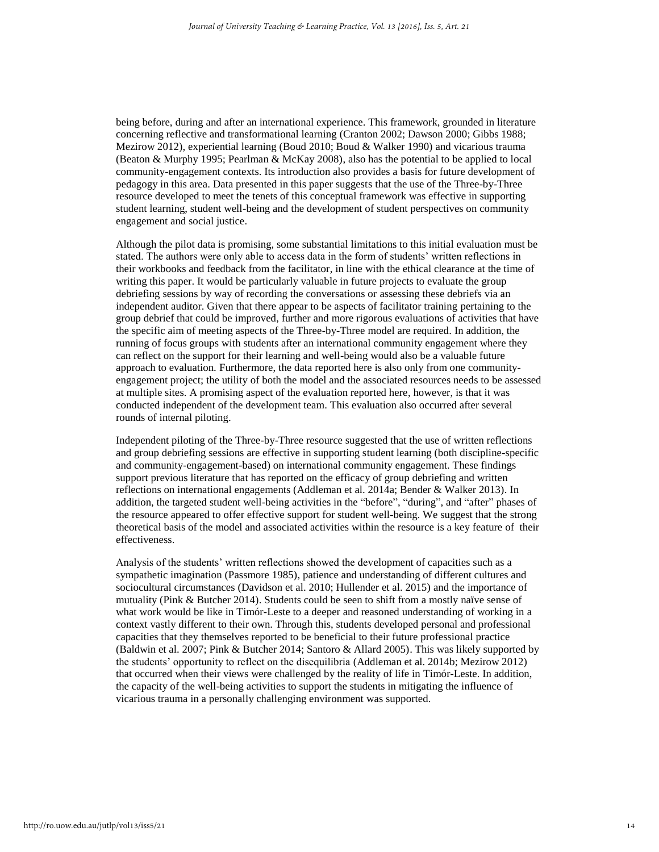being before, during and after an international experience. This framework, grounded in literature concerning reflective and transformational learning (Cranton 2002; Dawson 2000; Gibbs 1988; Mezirow 2012), experiential learning (Boud 2010; Boud & Walker 1990) and vicarious trauma (Beaton & Murphy 1995; Pearlman & McKay 2008), also has the potential to be applied to local community-engagement contexts. Its introduction also provides a basis for future development of pedagogy in this area. Data presented in this paper suggests that the use of the Three-by-Three resource developed to meet the tenets of this conceptual framework was effective in supporting student learning, student well-being and the development of student perspectives on community engagement and social justice.

Although the pilot data is promising, some substantial limitations to this initial evaluation must be stated. The authors were only able to access data in the form of students' written reflections in their workbooks and feedback from the facilitator, in line with the ethical clearance at the time of writing this paper. It would be particularly valuable in future projects to evaluate the group debriefing sessions by way of recording the conversations or assessing these debriefs via an independent auditor. Given that there appear to be aspects of facilitator training pertaining to the group debrief that could be improved, further and more rigorous evaluations of activities that have the specific aim of meeting aspects of the Three-by-Three model are required. In addition, the running of focus groups with students after an international community engagement where they can reflect on the support for their learning and well-being would also be a valuable future approach to evaluation. Furthermore, the data reported here is also only from one communityengagement project; the utility of both the model and the associated resources needs to be assessed at multiple sites. A promising aspect of the evaluation reported here, however, is that it was conducted independent of the development team. This evaluation also occurred after several rounds of internal piloting.

Independent piloting of the Three-by-Three resource suggested that the use of written reflections and group debriefing sessions are effective in supporting student learning (both discipline-specific and community-engagement-based) on international community engagement. These findings support previous literature that has reported on the efficacy of group debriefing and written reflections on international engagements (Addleman et al. 2014a; Bender & Walker 2013). In addition, the targeted student well-being activities in the "before", "during", and "after" phases of the resource appeared to offer effective support for student well-being. We suggest that the strong theoretical basis of the model and associated activities within the resource is a key feature of their effectiveness.

Analysis of the students' written reflections showed the development of capacities such as a sympathetic imagination (Passmore 1985), patience and understanding of different cultures and sociocultural circumstances (Davidson et al. 2010; Hullender et al. 2015) and the importance of mutuality (Pink & Butcher 2014). Students could be seen to shift from a mostly naïve sense of what work would be like in Timór-Leste to a deeper and reasoned understanding of working in a context vastly different to their own. Through this, students developed personal and professional capacities that they themselves reported to be beneficial to their future professional practice (Baldwin et al. 2007; Pink & Butcher 2014; Santoro & Allard 2005). This was likely supported by the students' opportunity to reflect on the disequilibria (Addleman et al. 2014b; Mezirow 2012) that occurred when their views were challenged by the reality of life in Timór-Leste. In addition, the capacity of the well-being activities to support the students in mitigating the influence of vicarious trauma in a personally challenging environment was supported.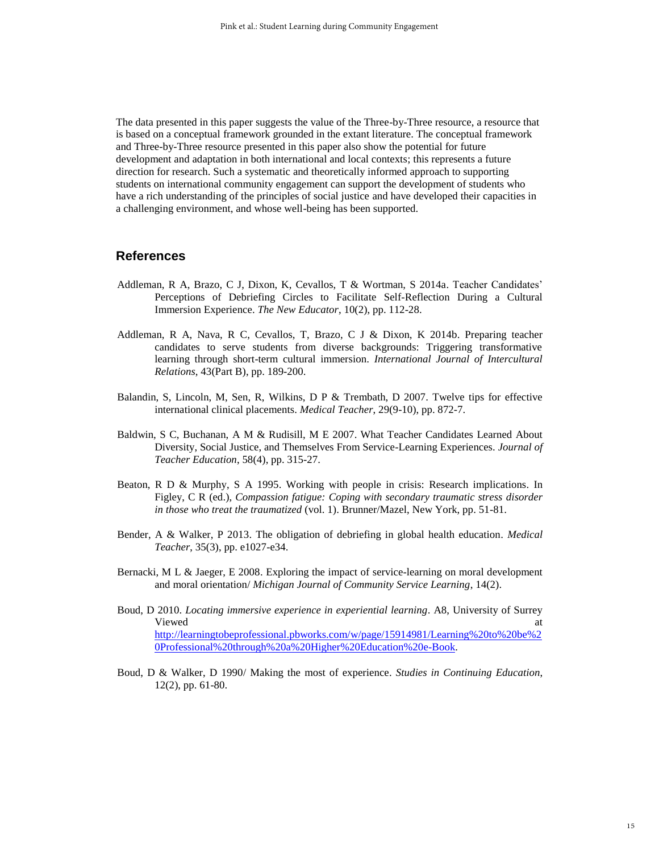The data presented in this paper suggests the value of the Three-by-Three resource, a resource that is based on a conceptual framework grounded in the extant literature. The conceptual framework and Three-by-Three resource presented in this paper also show the potential for future development and adaptation in both international and local contexts; this represents a future direction for research. Such a systematic and theoretically informed approach to supporting students on international community engagement can support the development of students who have a rich understanding of the principles of social justice and have developed their capacities in a challenging environment, and whose well-being has been supported.

## **References**

- Addleman, R A, Brazo, C J, Dixon, K, Cevallos, T & Wortman, S 2014a. Teacher Candidates' Perceptions of Debriefing Circles to Facilitate Self-Reflection During a Cultural Immersion Experience. *The New Educator*, 10(2), pp. 112-28.
- Addleman, R A, Nava, R C, Cevallos, T, Brazo, C J & Dixon, K 2014b. Preparing teacher candidates to serve students from diverse backgrounds: Triggering transformative learning through short-term cultural immersion. *International Journal of Intercultural Relations*, 43(Part B), pp. 189-200.
- Balandin, S, Lincoln, M, Sen, R, Wilkins, D P & Trembath, D 2007. Twelve tips for effective international clinical placements. *Medical Teacher*, 29(9-10), pp. 872-7.
- Baldwin, S C, Buchanan, A M & Rudisill, M E 2007. What Teacher Candidates Learned About Diversity, Social Justice, and Themselves From Service-Learning Experiences. *Journal of Teacher Education*, 58(4), pp. 315-27.
- Beaton, R D & Murphy, S A 1995. Working with people in crisis: Research implications. In Figley, C R (ed.), *Compassion fatigue: Coping with secondary traumatic stress disorder in those who treat the traumatized* (vol. 1). Brunner/Mazel, New York, pp. 51-81.
- Bender, A & Walker, P 2013. The obligation of debriefing in global health education. *Medical Teacher*, 35(3), pp. e1027-e34.
- Bernacki, M L & Jaeger, E 2008. Exploring the impact of service-learning on moral development and moral orientation/ *Michigan Journal of Community Service Learning*, 14(2).
- Boud, D 2010. *Locating immersive experience in experiential learning*. A8, University of Surrey Viewed at the contract of the contract of the contract of the contract of the contract of the contract of the contract of the contract of the contract of the contract of the contract of the contract of the contract of the [http://learningtobeprofessional.pbworks.com/w/page/15914981/Learning%20to%20be%2](http://learningtobeprofessional.pbworks.com/w/page/15914981/Learning%20to%20be%20Professional%20through%20a%20Higher%20Education%20e-Book) [0Professional%20through%20a%20Higher%20Education%20e-Book.](http://learningtobeprofessional.pbworks.com/w/page/15914981/Learning%20to%20be%20Professional%20through%20a%20Higher%20Education%20e-Book)
- Boud, D & Walker, D 1990/ Making the most of experience. *Studies in Continuing Education*, 12(2), pp. 61-80.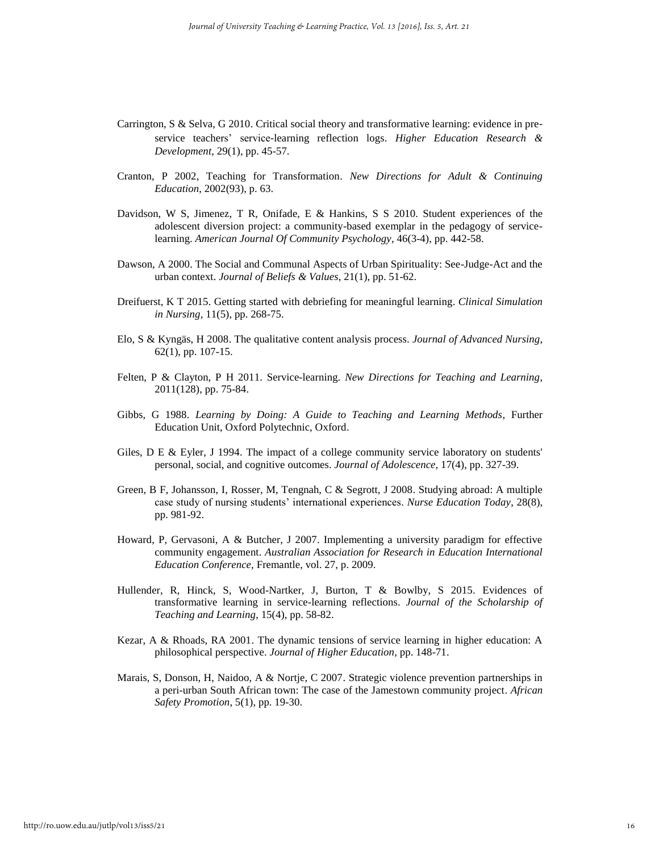- Carrington, S & Selva, G 2010. Critical social theory and transformative learning: evidence in pre‐ service teachers' service‐learning reflection logs. *Higher Education Research & Development*, 29(1), pp. 45-57.
- Cranton, P 2002, Teaching for Transformation. *New Directions for Adult & Continuing Education*, 2002(93), p. 63.
- Davidson, W S, Jimenez, T R, Onifade, E & Hankins, S S 2010. Student experiences of the adolescent diversion project: a community-based exemplar in the pedagogy of servicelearning. *American Journal Of Community Psychology*, 46(3-4), pp. 442-58.
- Dawson, A 2000. The Social and Communal Aspects of Urban Spirituality: See-Judge-Act and the urban context. *Journal of Beliefs & Values*, 21(1), pp. 51-62.
- Dreifuerst, K T 2015. Getting started with debriefing for meaningful learning. *Clinical Simulation in Nursing*, 11(5), pp. 268-75.
- Elo, S & Kyngäs, H 2008. The qualitative content analysis process. *Journal of Advanced Nursing*, 62(1), pp. 107-15.
- Felten, P & Clayton, P H 2011. Service-learning. *New Directions for Teaching and Learning*, 2011(128), pp. 75-84.
- Gibbs, G 1988. *Learning by Doing: A Guide to Teaching and Learning Methods*, Further Education Unit, Oxford Polytechnic, Oxford.
- Giles, D E & Eyler, J 1994. The impact of a college community service laboratory on students' personal, social, and cognitive outcomes. *Journal of Adolescence*, 17(4), pp. 327-39.
- Green, B F, Johansson, I, Rosser, M, Tengnah, C & Segrott, J 2008. Studying abroad: A multiple case study of nursing students' international experiences. *Nurse Education Today*, 28(8), pp. 981-92.
- Howard, P, Gervasoni, A & Butcher, J 2007. Implementing a university paradigm for effective community engagement. *Australian Association for Research in Education International Education Conference,* Fremantle, vol. 27, p. 2009.
- Hullender, R, Hinck, S, Wood-Nartker, J, Burton, T & Bowlby, S 2015. Evidences of transformative learning in service-learning reflections. *Journal of the Scholarship of Teaching and Learning*, 15(4), pp. 58-82.
- Kezar, A & Rhoads, RA 2001. The dynamic tensions of service learning in higher education: A philosophical perspective. *Journal of Higher Education*, pp. 148-71.
- Marais, S, Donson, H, Naidoo, A & Nortje, C 2007. Strategic violence prevention partnerships in a peri-urban South African town: The case of the Jamestown community project. *African Safety Promotion*, 5(1), pp. 19-30.